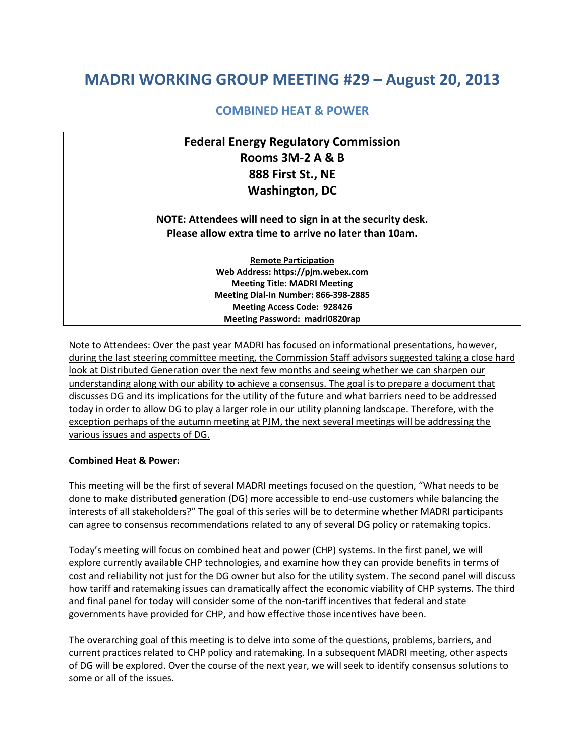# **MADRI WORKING GROUP MEETING #29 – August 20, 2013**

### **COMBINED HEAT & POWER**

## **Federal Energy Regulatory Commission Rooms 3M-2 A & B 888 First St., NE Washington, DC**

### **NOTE: Attendees will need to sign in at the security desk. Please allow extra time to arrive no later than 10am.**

**Remote Participation Web Address: https://pjm.webex.com Meeting Title: MADRI Meeting Meeting Dial-In Number: 866-398-2885 Meeting Access Code: 928426 Meeting Password: madri0820rap**

Note to Attendees: Over the past year MADRI has focused on informational presentations, however, during the last steering committee meeting, the Commission Staff advisors suggested taking a close hard look at Distributed Generation over the next few months and seeing whether we can sharpen our understanding along with our ability to achieve a consensus. The goal is to prepare a document that discusses DG and its implications for the utility of the future and what barriers need to be addressed today in order to allow DG to play a larger role in our utility planning landscape. Therefore, with the exception perhaps of the autumn meeting at PJM, the next several meetings will be addressing the various issues and aspects of DG.

#### **Combined Heat & Power:**

This meeting will be the first of several MADRI meetings focused on the question, "What needs to be done to make distributed generation (DG) more accessible to end-use customers while balancing the interests of all stakeholders?" The goal of this series will be to determine whether MADRI participants can agree to consensus recommendations related to any of several DG policy or ratemaking topics.

Today's meeting will focus on combined heat and power (CHP) systems. In the first panel, we will explore currently available CHP technologies, and examine how they can provide benefits in terms of cost and reliability not just for the DG owner but also for the utility system. The second panel will discuss how tariff and ratemaking issues can dramatically affect the economic viability of CHP systems. The third and final panel for today will consider some of the non-tariff incentives that federal and state governments have provided for CHP, and how effective those incentives have been.

The overarching goal of this meeting is to delve into some of the questions, problems, barriers, and current practices related to CHP policy and ratemaking. In a subsequent MADRI meeting, other aspects of DG will be explored. Over the course of the next year, we will seek to identify consensus solutions to some or all of the issues.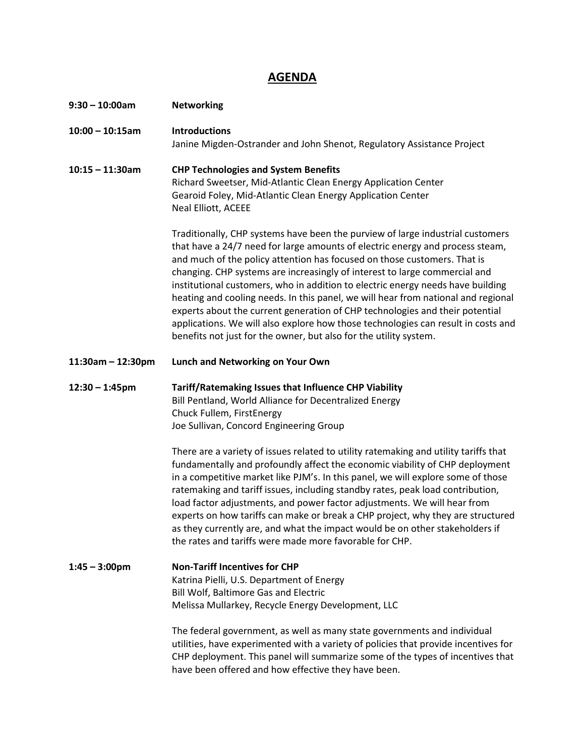### **AGENDA**

| $9:30 - 10:00$ am   | <b>Networking</b>                                                                                                                                                                                                                                                                                                                                                                                                                                                                                                                                                                                                                                                                                                                                                                    |
|---------------------|--------------------------------------------------------------------------------------------------------------------------------------------------------------------------------------------------------------------------------------------------------------------------------------------------------------------------------------------------------------------------------------------------------------------------------------------------------------------------------------------------------------------------------------------------------------------------------------------------------------------------------------------------------------------------------------------------------------------------------------------------------------------------------------|
| $10:00 - 10:15am$   | <b>Introductions</b><br>Janine Migden-Ostrander and John Shenot, Regulatory Assistance Project                                                                                                                                                                                                                                                                                                                                                                                                                                                                                                                                                                                                                                                                                       |
| $10:15 - 11:30$ am  | <b>CHP Technologies and System Benefits</b><br>Richard Sweetser, Mid-Atlantic Clean Energy Application Center<br>Gearoid Foley, Mid-Atlantic Clean Energy Application Center<br>Neal Elliott, ACEEE                                                                                                                                                                                                                                                                                                                                                                                                                                                                                                                                                                                  |
|                     | Traditionally, CHP systems have been the purview of large industrial customers<br>that have a 24/7 need for large amounts of electric energy and process steam,<br>and much of the policy attention has focused on those customers. That is<br>changing. CHP systems are increasingly of interest to large commercial and<br>institutional customers, who in addition to electric energy needs have building<br>heating and cooling needs. In this panel, we will hear from national and regional<br>experts about the current generation of CHP technologies and their potential<br>applications. We will also explore how those technologies can result in costs and<br>benefits not just for the owner, but also for the utility system.                                          |
| $11:30am - 12:30pm$ | Lunch and Networking on Your Own                                                                                                                                                                                                                                                                                                                                                                                                                                                                                                                                                                                                                                                                                                                                                     |
| $12:30 - 1:45$ pm   | Tariff/Ratemaking Issues that Influence CHP Viability<br>Bill Pentland, World Alliance for Decentralized Energy<br>Chuck Fullem, FirstEnergy<br>Joe Sullivan, Concord Engineering Group<br>There are a variety of issues related to utility ratemaking and utility tariffs that<br>fundamentally and profoundly affect the economic viability of CHP deployment<br>in a competitive market like PJM's. In this panel, we will explore some of those<br>ratemaking and tariff issues, including standby rates, peak load contribution,<br>load factor adjustments, and power factor adjustments. We will hear from<br>experts on how tariffs can make or break a CHP project, why they are structured<br>as they currently are, and what the impact would be on other stakeholders if |
| $1:45 - 3:00$ pm    | the rates and tariffs were made more favorable for CHP.<br><b>Non-Tariff Incentives for CHP</b><br>Katrina Pielli, U.S. Department of Energy<br>Bill Wolf, Baltimore Gas and Electric<br>Melissa Mullarkey, Recycle Energy Development, LLC<br>The federal government, as well as many state governments and individual<br>utilities, have experimented with a variety of policies that provide incentives for<br>CHP deployment. This panel will summarize some of the types of incentives that<br>have been offered and how effective they have been.                                                                                                                                                                                                                              |